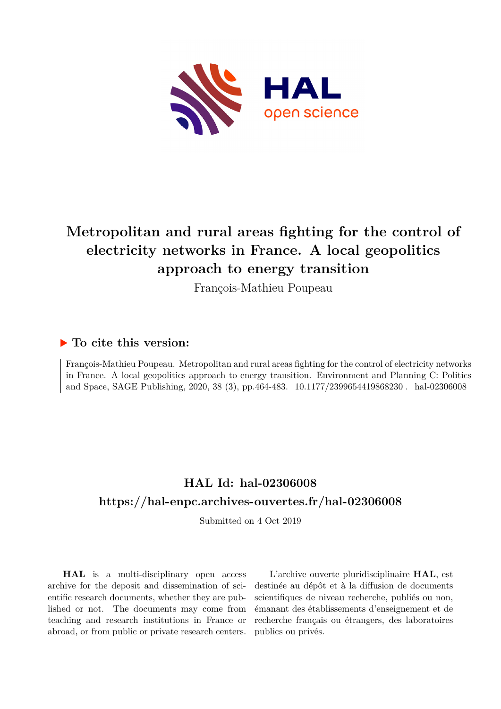

# **Metropolitan and rural areas fighting for the control of electricity networks in France. A local geopolitics approach to energy transition**

François-Mathieu Poupeau

## **To cite this version:**

François-Mathieu Poupeau. Metropolitan and rural areas fighting for the control of electricity networks in France. A local geopolitics approach to energy transition. Environment and Planning C: Politics and Space, SAGE Publishing, 2020, 38 (3), pp.464-483. 10.1177/2399654419868230. hal-02306008

# **HAL Id: hal-02306008 <https://hal-enpc.archives-ouvertes.fr/hal-02306008>**

Submitted on 4 Oct 2019

**HAL** is a multi-disciplinary open access archive for the deposit and dissemination of scientific research documents, whether they are published or not. The documents may come from teaching and research institutions in France or abroad, or from public or private research centers.

L'archive ouverte pluridisciplinaire **HAL**, est destinée au dépôt et à la diffusion de documents scientifiques de niveau recherche, publiés ou non, émanant des établissements d'enseignement et de recherche français ou étrangers, des laboratoires publics ou privés.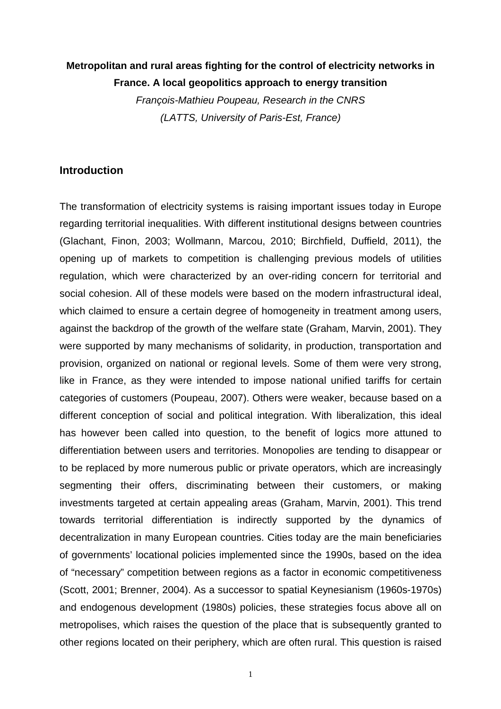# **Metropolitan and rural areas fighting for the control of electricity networks in France. A local geopolitics approach to energy transition**

François-Mathieu Poupeau, Research in the CNRS (LATTS, University of Paris-Est, France)

## **Introduction**

The transformation of electricity systems is raising important issues today in Europe regarding territorial inequalities. With different institutional designs between countries (Glachant, Finon, 2003; Wollmann, Marcou, 2010; Birchfield, Duffield, 2011), the opening up of markets to competition is challenging previous models of utilities regulation, which were characterized by an over-riding concern for territorial and social cohesion. All of these models were based on the modern infrastructural ideal, which claimed to ensure a certain degree of homogeneity in treatment among users, against the backdrop of the growth of the welfare state (Graham, Marvin, 2001). They were supported by many mechanisms of solidarity, in production, transportation and provision, organized on national or regional levels. Some of them were very strong, like in France, as they were intended to impose national unified tariffs for certain categories of customers (Poupeau, 2007). Others were weaker, because based on a different conception of social and political integration. With liberalization, this ideal has however been called into question, to the benefit of logics more attuned to differentiation between users and territories. Monopolies are tending to disappear or to be replaced by more numerous public or private operators, which are increasingly segmenting their offers, discriminating between their customers, or making investments targeted at certain appealing areas (Graham, Marvin, 2001). This trend towards territorial differentiation is indirectly supported by the dynamics of decentralization in many European countries. Cities today are the main beneficiaries of governments' locational policies implemented since the 1990s, based on the idea of "necessary" competition between regions as a factor in economic competitiveness (Scott, 2001; Brenner, 2004). As a successor to spatial Keynesianism (1960s-1970s) and endogenous development (1980s) policies, these strategies focus above all on metropolises, which raises the question of the place that is subsequently granted to other regions located on their periphery, which are often rural. This question is raised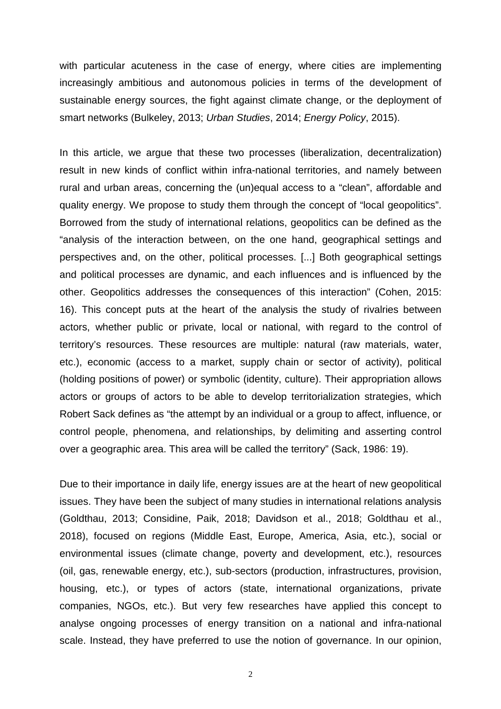with particular acuteness in the case of energy, where cities are implementing increasingly ambitious and autonomous policies in terms of the development of sustainable energy sources, the fight against climate change, or the deployment of smart networks (Bulkeley, 2013; Urban Studies, 2014; Energy Policy, 2015).

In this article, we argue that these two processes (liberalization, decentralization) result in new kinds of conflict within infra-national territories, and namely between rural and urban areas, concerning the (un)equal access to a "clean", affordable and quality energy. We propose to study them through the concept of "local geopolitics". Borrowed from the study of international relations, geopolitics can be defined as the "analysis of the interaction between, on the one hand, geographical settings and perspectives and, on the other, political processes. [...] Both geographical settings and political processes are dynamic, and each influences and is influenced by the other. Geopolitics addresses the consequences of this interaction" (Cohen, 2015: 16). This concept puts at the heart of the analysis the study of rivalries between actors, whether public or private, local or national, with regard to the control of territory's resources. These resources are multiple: natural (raw materials, water, etc.), economic (access to a market, supply chain or sector of activity), political (holding positions of power) or symbolic (identity, culture). Their appropriation allows actors or groups of actors to be able to develop territorialization strategies, which Robert Sack defines as "the attempt by an individual or a group to affect, influence, or control people, phenomena, and relationships, by delimiting and asserting control over a geographic area. This area will be called the territory" (Sack, 1986: 19).

Due to their importance in daily life, energy issues are at the heart of new geopolitical issues. They have been the subject of many studies in international relations analysis (Goldthau, 2013; Considine, Paik, 2018; Davidson et al., 2018; Goldthau et al., 2018), focused on regions (Middle East, Europe, America, Asia, etc.), social or environmental issues (climate change, poverty and development, etc.), resources (oil, gas, renewable energy, etc.), sub-sectors (production, infrastructures, provision, housing, etc.), or types of actors (state, international organizations, private companies, NGOs, etc.). But very few researches have applied this concept to analyse ongoing processes of energy transition on a national and infra-national scale. Instead, they have preferred to use the notion of governance. In our opinion,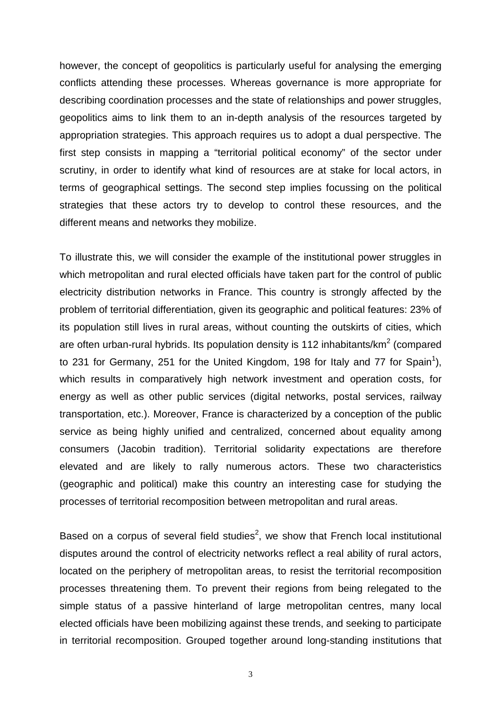however, the concept of geopolitics is particularly useful for analysing the emerging conflicts attending these processes. Whereas governance is more appropriate for describing coordination processes and the state of relationships and power struggles, geopolitics aims to link them to an in-depth analysis of the resources targeted by appropriation strategies. This approach requires us to adopt a dual perspective. The first step consists in mapping a "territorial political economy" of the sector under scrutiny, in order to identify what kind of resources are at stake for local actors, in terms of geographical settings. The second step implies focussing on the political strategies that these actors try to develop to control these resources, and the different means and networks they mobilize.

To illustrate this, we will consider the example of the institutional power struggles in which metropolitan and rural elected officials have taken part for the control of public electricity distribution networks in France. This country is strongly affected by the problem of territorial differentiation, given its geographic and political features: 23% of its population still lives in rural areas, without counting the outskirts of cities, which are often urban-rural hybrids. Its population density is 112 inhabitants/km<sup>2</sup> (compared to 231 for Germany, 251 for the United Kingdom, 198 for Italy and 77 for Spain<sup>1</sup>), which results in comparatively high network investment and operation costs, for energy as well as other public services (digital networks, postal services, railway transportation, etc.). Moreover, France is characterized by a conception of the public service as being highly unified and centralized, concerned about equality among consumers (Jacobin tradition). Territorial solidarity expectations are therefore elevated and are likely to rally numerous actors. These two characteristics (geographic and political) make this country an interesting case for studying the processes of territorial recomposition between metropolitan and rural areas.

Based on a corpus of several field studies<sup>2</sup>, we show that French local institutional disputes around the control of electricity networks reflect a real ability of rural actors, located on the periphery of metropolitan areas, to resist the territorial recomposition processes threatening them. To prevent their regions from being relegated to the simple status of a passive hinterland of large metropolitan centres, many local elected officials have been mobilizing against these trends, and seeking to participate in territorial recomposition. Grouped together around long-standing institutions that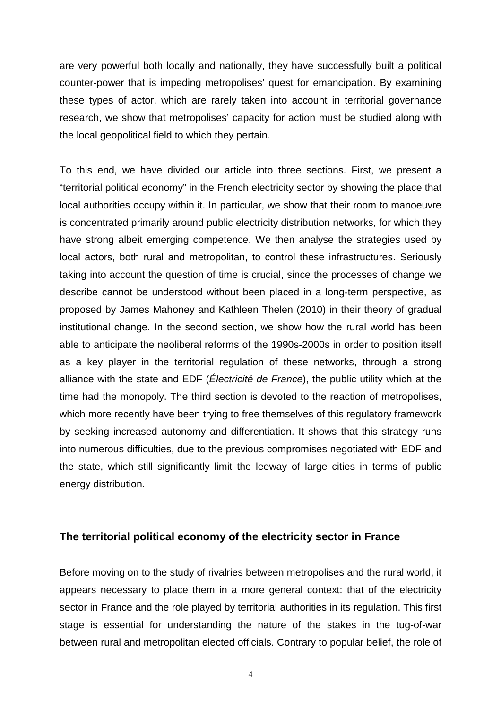are very powerful both locally and nationally, they have successfully built a political counter-power that is impeding metropolises' quest for emancipation. By examining these types of actor, which are rarely taken into account in territorial governance research, we show that metropolises' capacity for action must be studied along with the local geopolitical field to which they pertain.

To this end, we have divided our article into three sections. First, we present a "territorial political economy" in the French electricity sector by showing the place that local authorities occupy within it. In particular, we show that their room to manoeuvre is concentrated primarily around public electricity distribution networks, for which they have strong albeit emerging competence. We then analyse the strategies used by local actors, both rural and metropolitan, to control these infrastructures. Seriously taking into account the question of time is crucial, since the processes of change we describe cannot be understood without been placed in a long-term perspective, as proposed by James Mahoney and Kathleen Thelen (2010) in their theory of gradual institutional change. In the second section, we show how the rural world has been able to anticipate the neoliberal reforms of the 1990s-2000s in order to position itself as a key player in the territorial regulation of these networks, through a strong alliance with the state and EDF (*Électricité de France*), the public utility which at the time had the monopoly. The third section is devoted to the reaction of metropolises, which more recently have been trying to free themselves of this regulatory framework by seeking increased autonomy and differentiation. It shows that this strategy runs into numerous difficulties, due to the previous compromises negotiated with EDF and the state, which still significantly limit the leeway of large cities in terms of public energy distribution.

#### **The territorial political economy of the electricity sector in France**

Before moving on to the study of rivalries between metropolises and the rural world, it appears necessary to place them in a more general context: that of the electricity sector in France and the role played by territorial authorities in its regulation. This first stage is essential for understanding the nature of the stakes in the tug-of-war between rural and metropolitan elected officials. Contrary to popular belief, the role of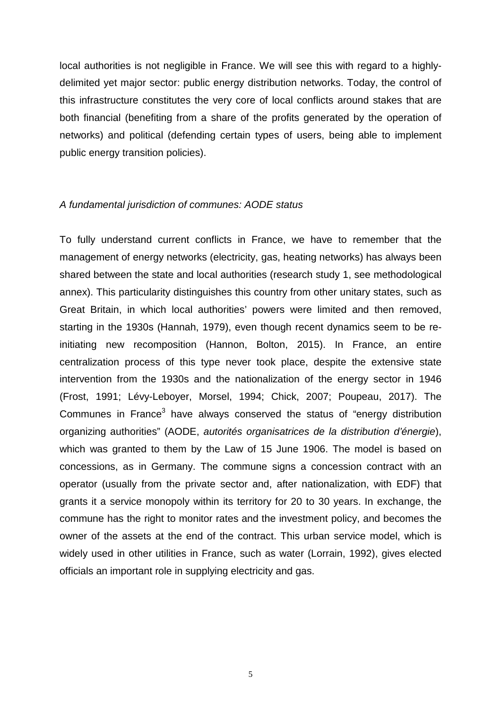local authorities is not negligible in France. We will see this with regard to a highlydelimited yet major sector: public energy distribution networks. Today, the control of this infrastructure constitutes the very core of local conflicts around stakes that are both financial (benefiting from a share of the profits generated by the operation of networks) and political (defending certain types of users, being able to implement public energy transition policies).

### A fundamental jurisdiction of communes: AODE status

To fully understand current conflicts in France, we have to remember that the management of energy networks (electricity, gas, heating networks) has always been shared between the state and local authorities (research study 1, see methodological annex). This particularity distinguishes this country from other unitary states, such as Great Britain, in which local authorities' powers were limited and then removed, starting in the 1930s (Hannah, 1979), even though recent dynamics seem to be reinitiating new recomposition (Hannon, Bolton, 2015). In France, an entire centralization process of this type never took place, despite the extensive state intervention from the 1930s and the nationalization of the energy sector in 1946 (Frost, 1991; Lévy-Leboyer, Morsel, 1994; Chick, 2007; Poupeau, 2017). The Communes in France<sup>3</sup> have always conserved the status of "energy distribution organizing authorities" (AODE, autorités organisatrices de la distribution d'énergie), which was granted to them by the Law of 15 June 1906. The model is based on concessions, as in Germany. The commune signs a concession contract with an operator (usually from the private sector and, after nationalization, with EDF) that grants it a service monopoly within its territory for 20 to 30 years. In exchange, the commune has the right to monitor rates and the investment policy, and becomes the owner of the assets at the end of the contract. This urban service model, which is widely used in other utilities in France, such as water (Lorrain, 1992), gives elected officials an important role in supplying electricity and gas.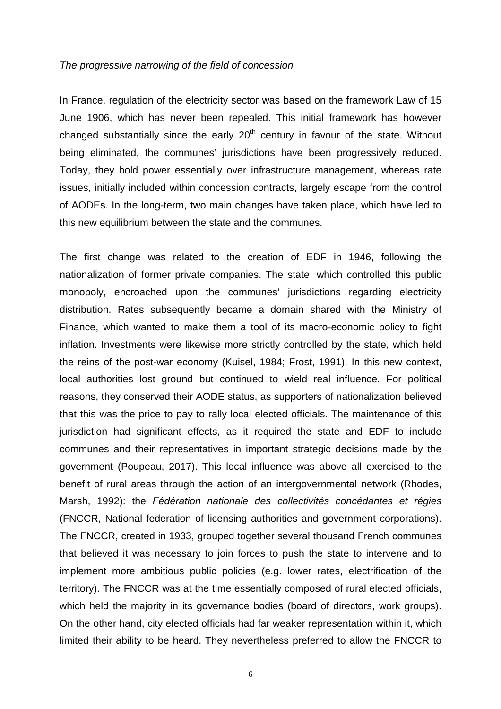#### The progressive narrowing of the field of concession

In France, regulation of the electricity sector was based on the framework Law of 15 June 1906, which has never been repealed. This initial framework has however changed substantially since the early  $20<sup>th</sup>$  century in favour of the state. Without being eliminated, the communes' jurisdictions have been progressively reduced. Today, they hold power essentially over infrastructure management, whereas rate issues, initially included within concession contracts, largely escape from the control of AODEs. In the long-term, two main changes have taken place, which have led to this new equilibrium between the state and the communes.

The first change was related to the creation of EDF in 1946, following the nationalization of former private companies. The state, which controlled this public monopoly, encroached upon the communes' jurisdictions regarding electricity distribution. Rates subsequently became a domain shared with the Ministry of Finance, which wanted to make them a tool of its macro-economic policy to fight inflation. Investments were likewise more strictly controlled by the state, which held the reins of the post-war economy (Kuisel, 1984; Frost, 1991). In this new context, local authorities lost ground but continued to wield real influence. For political reasons, they conserved their AODE status, as supporters of nationalization believed that this was the price to pay to rally local elected officials. The maintenance of this jurisdiction had significant effects, as it required the state and EDF to include communes and their representatives in important strategic decisions made by the government (Poupeau, 2017). This local influence was above all exercised to the benefit of rural areas through the action of an intergovernmental network (Rhodes, Marsh, 1992): the Fédération nationale des collectivités concédantes et régies (FNCCR, National federation of licensing authorities and government corporations). The FNCCR, created in 1933, grouped together several thousand French communes that believed it was necessary to join forces to push the state to intervene and to implement more ambitious public policies (e.g. lower rates, electrification of the territory). The FNCCR was at the time essentially composed of rural elected officials, which held the majority in its governance bodies (board of directors, work groups). On the other hand, city elected officials had far weaker representation within it, which limited their ability to be heard. They nevertheless preferred to allow the FNCCR to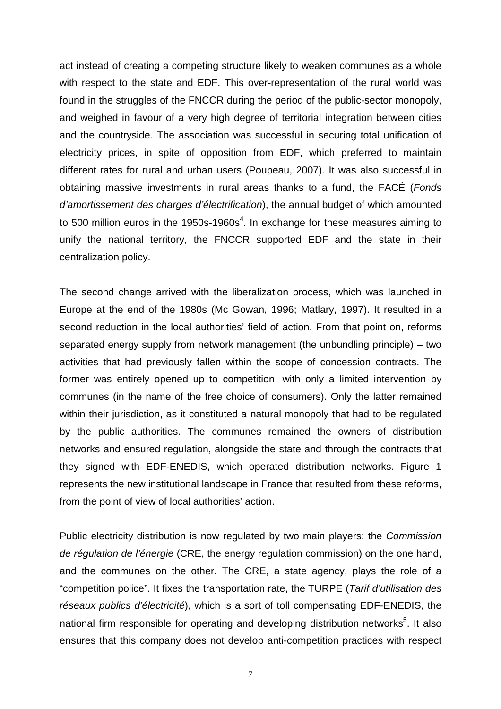act instead of creating a competing structure likely to weaken communes as a whole with respect to the state and EDF. This over-representation of the rural world was found in the struggles of the FNCCR during the period of the public-sector monopoly, and weighed in favour of a very high degree of territorial integration between cities and the countryside. The association was successful in securing total unification of electricity prices, in spite of opposition from EDF, which preferred to maintain different rates for rural and urban users (Poupeau, 2007). It was also successful in obtaining massive investments in rural areas thanks to a fund, the FACÉ (Fonds d'amortissement des charges d'électrification), the annual budget of which amounted to 500 million euros in the 1950s-1960s<sup>4</sup>. In exchange for these measures aiming to unify the national territory, the FNCCR supported EDF and the state in their centralization policy.

The second change arrived with the liberalization process, which was launched in Europe at the end of the 1980s (Mc Gowan, 1996; Matlary, 1997). It resulted in a second reduction in the local authorities' field of action. From that point on, reforms separated energy supply from network management (the unbundling principle) – two activities that had previously fallen within the scope of concession contracts. The former was entirely opened up to competition, with only a limited intervention by communes (in the name of the free choice of consumers). Only the latter remained within their jurisdiction, as it constituted a natural monopoly that had to be regulated by the public authorities. The communes remained the owners of distribution networks and ensured regulation, alongside the state and through the contracts that they signed with EDF-ENEDIS, which operated distribution networks. Figure 1 represents the new institutional landscape in France that resulted from these reforms, from the point of view of local authorities' action.

Public electricity distribution is now regulated by two main players: the Commission de régulation de l'énergie (CRE, the energy regulation commission) on the one hand, and the communes on the other. The CRE, a state agency, plays the role of a "competition police". It fixes the transportation rate, the TURPE (Tarif d'utilisation des réseaux publics d'électricité), which is a sort of toll compensating EDF-ENEDIS, the national firm responsible for operating and developing distribution networks<sup>5</sup>. It also ensures that this company does not develop anti-competition practices with respect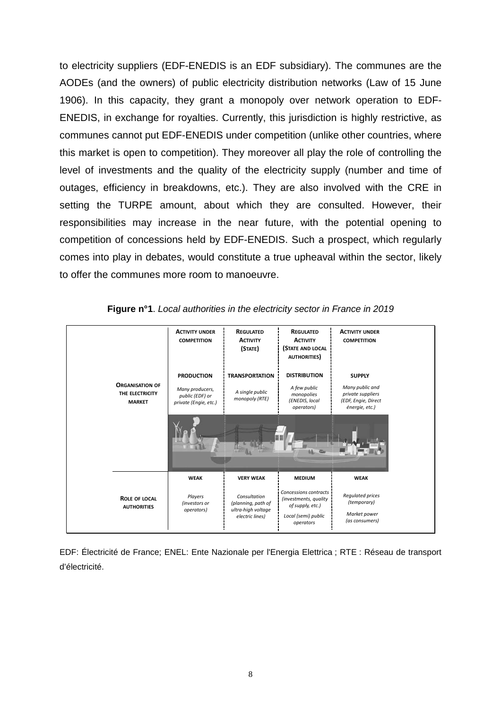to electricity suppliers (EDF-ENEDIS is an EDF subsidiary). The communes are the AODEs (and the owners) of public electricity distribution networks (Law of 15 June 1906). In this capacity, they grant a monopoly over network operation to EDF-ENEDIS, in exchange for royalties. Currently, this jurisdiction is highly restrictive, as communes cannot put EDF-ENEDIS under competition (unlike other countries, where this market is open to competition). They moreover all play the role of controlling the level of investments and the quality of the electricity supply (number and time of outages, efficiency in breakdowns, etc.). They are also involved with the CRE in setting the TURPE amount, about which they are consulted. However, their responsibilities may increase in the near future, with the potential opening to competition of concessions held by EDF-ENEDIS. Such a prospect, which regularly comes into play in debates, would constitute a true upheaval within the sector, likely to offer the communes more room to manoeuvre.

|                                                            | <b>ACTIVITY UNDER</b><br><b>COMPETITION</b>                 | <b>REGULATED</b><br><b>ACTIVITY</b><br>(STATE)                              | <b>REGULATED</b><br><b>ACTIVITY</b><br>(STATE AND LOCAL<br><b>AUTHORITIES</b> )                        | <b>ACTIVITY UNDER</b><br><b>COMPETITION</b>                                   |
|------------------------------------------------------------|-------------------------------------------------------------|-----------------------------------------------------------------------------|--------------------------------------------------------------------------------------------------------|-------------------------------------------------------------------------------|
|                                                            | <b>PRODUCTION</b>                                           | <b>TRANSPORTATION</b>                                                       | <b>DISTRIBUTION</b>                                                                                    | <b>SUPPLY</b>                                                                 |
| <b>ORGANISATION OF</b><br>THE ELECTRICITY<br><b>MARKET</b> | Many producers,<br>public (EDF) or<br>private (Engie, etc.) | A single public<br>monopoly (RTE)                                           | A few public<br>monopolies<br>(ENEDIS, local<br>operators)                                             | Many public and<br>private suppliers<br>(EDF, Engie, Direct<br>énergie, etc.) |
|                                                            |                                                             |                                                                             | 認計                                                                                                     |                                                                               |
|                                                            | <b>WEAK</b>                                                 | <b>VERY WEAK</b>                                                            | <b>MEDIUM</b>                                                                                          | <b>WEAK</b>                                                                   |
| ROLE OF LOCAL<br><b>AUTHORITIES</b>                        | Players<br>(investors or<br>operators)                      | Consultation<br>(planning, path of<br>ultra-high voltage<br>electric lines) | Concessions contracts<br>(investments, quality<br>of supply, etc.)<br>Local (semi) public<br>operators | <b>Regulated prices</b><br>(temporary)<br>Market power<br>(as consumers)      |

**Figure n°1**. Local authorities in the electricity sector in France in 2019

EDF: Électricité de France; ENEL: Ente Nazionale per l'Energia Elettrica ; RTE : Réseau de transport d'électricité.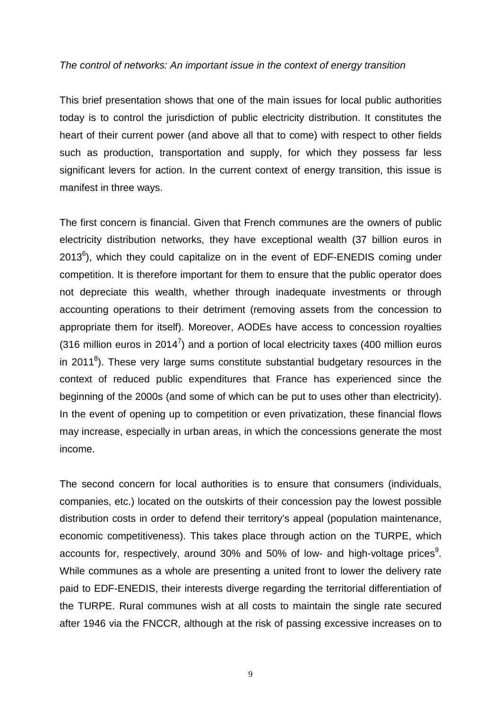### The control of networks: An important issue in the context of energy transition

This brief presentation shows that one of the main issues for local public authorities today is to control the jurisdiction of public electricity distribution. It constitutes the heart of their current power (and above all that to come) with respect to other fields such as production, transportation and supply, for which they possess far less significant levers for action. In the current context of energy transition, this issue is manifest in three ways.

The first concern is financial. Given that French communes are the owners of public electricity distribution networks, they have exceptional wealth (37 billion euros in  $2013<sup>6</sup>$ ), which they could capitalize on in the event of EDF-ENEDIS coming under competition. It is therefore important for them to ensure that the public operator does not depreciate this wealth, whether through inadequate investments or through accounting operations to their detriment (removing assets from the concession to appropriate them for itself). Moreover, AODEs have access to concession royalties (316 million euros in 2014<sup>7</sup>) and a portion of local electricity taxes (400 million euros in 2011 ${}^{8}$ ). These very large sums constitute substantial budgetary resources in the context of reduced public expenditures that France has experienced since the beginning of the 2000s (and some of which can be put to uses other than electricity). In the event of opening up to competition or even privatization, these financial flows may increase, especially in urban areas, in which the concessions generate the most income.

The second concern for local authorities is to ensure that consumers (individuals, companies, etc.) located on the outskirts of their concession pay the lowest possible distribution costs in order to defend their territory's appeal (population maintenance, economic competitiveness). This takes place through action on the TURPE, which accounts for, respectively, around 30% and 50% of low- and high-voltage prices<sup>9</sup>. While communes as a whole are presenting a united front to lower the delivery rate paid to EDF-ENEDIS, their interests diverge regarding the territorial differentiation of the TURPE. Rural communes wish at all costs to maintain the single rate secured after 1946 via the FNCCR, although at the risk of passing excessive increases on to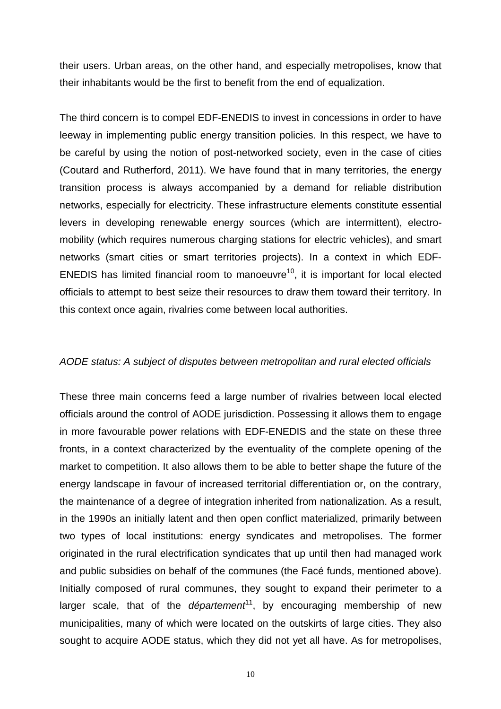their users. Urban areas, on the other hand, and especially metropolises, know that their inhabitants would be the first to benefit from the end of equalization.

The third concern is to compel EDF-ENEDIS to invest in concessions in order to have leeway in implementing public energy transition policies. In this respect, we have to be careful by using the notion of post-networked society, even in the case of cities (Coutard and Rutherford, 2011). We have found that in many territories, the energy transition process is always accompanied by a demand for reliable distribution networks, especially for electricity. These infrastructure elements constitute essential levers in developing renewable energy sources (which are intermittent), electromobility (which requires numerous charging stations for electric vehicles), and smart networks (smart cities or smart territories projects). In a context in which EDF-ENEDIS has limited financial room to manoeuvre<sup>10</sup>, it is important for local elected officials to attempt to best seize their resources to draw them toward their territory. In this context once again, rivalries come between local authorities.

#### AODE status: A subject of disputes between metropolitan and rural elected officials

These three main concerns feed a large number of rivalries between local elected officials around the control of AODE jurisdiction. Possessing it allows them to engage in more favourable power relations with EDF-ENEDIS and the state on these three fronts, in a context characterized by the eventuality of the complete opening of the market to competition. It also allows them to be able to better shape the future of the energy landscape in favour of increased territorial differentiation or, on the contrary, the maintenance of a degree of integration inherited from nationalization. As a result, in the 1990s an initially latent and then open conflict materialized, primarily between two types of local institutions: energy syndicates and metropolises. The former originated in the rural electrification syndicates that up until then had managed work and public subsidies on behalf of the communes (the Facé funds, mentioned above). Initially composed of rural communes, they sought to expand their perimeter to a larger scale, that of the *département*<sup>11</sup>, by encouraging membership of new municipalities, many of which were located on the outskirts of large cities. They also sought to acquire AODE status, which they did not yet all have. As for metropolises,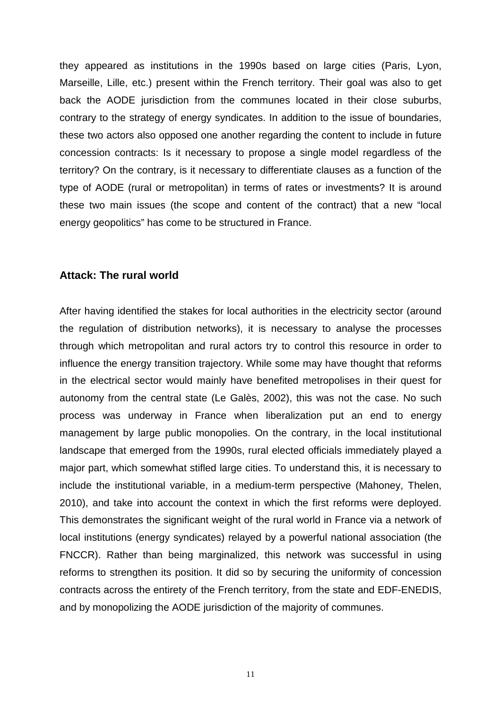they appeared as institutions in the 1990s based on large cities (Paris, Lyon, Marseille, Lille, etc.) present within the French territory. Their goal was also to get back the AODE jurisdiction from the communes located in their close suburbs, contrary to the strategy of energy syndicates. In addition to the issue of boundaries, these two actors also opposed one another regarding the content to include in future concession contracts: Is it necessary to propose a single model regardless of the territory? On the contrary, is it necessary to differentiate clauses as a function of the type of AODE (rural or metropolitan) in terms of rates or investments? It is around these two main issues (the scope and content of the contract) that a new "local energy geopolitics" has come to be structured in France.

### **Attack: The rural world**

After having identified the stakes for local authorities in the electricity sector (around the regulation of distribution networks), it is necessary to analyse the processes through which metropolitan and rural actors try to control this resource in order to influence the energy transition trajectory. While some may have thought that reforms in the electrical sector would mainly have benefited metropolises in their quest for autonomy from the central state (Le Galès, 2002), this was not the case. No such process was underway in France when liberalization put an end to energy management by large public monopolies. On the contrary, in the local institutional landscape that emerged from the 1990s, rural elected officials immediately played a major part, which somewhat stifled large cities. To understand this, it is necessary to include the institutional variable, in a medium-term perspective (Mahoney, Thelen, 2010), and take into account the context in which the first reforms were deployed. This demonstrates the significant weight of the rural world in France via a network of local institutions (energy syndicates) relayed by a powerful national association (the FNCCR). Rather than being marginalized, this network was successful in using reforms to strengthen its position. It did so by securing the uniformity of concession contracts across the entirety of the French territory, from the state and EDF-ENEDIS, and by monopolizing the AODE jurisdiction of the majority of communes.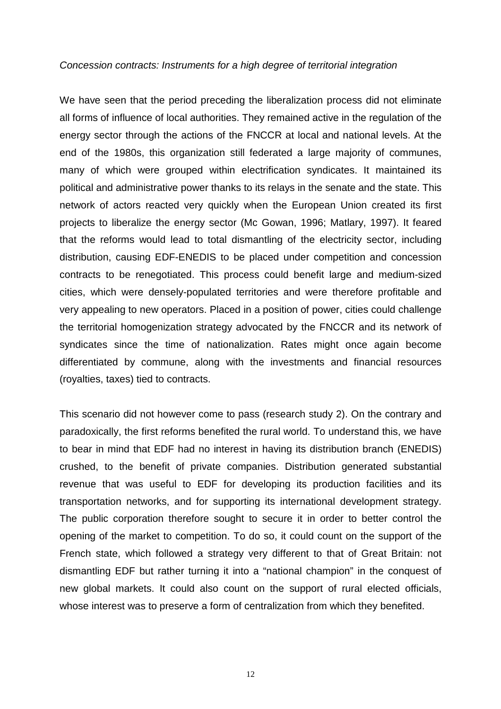#### Concession contracts: Instruments for a high degree of territorial integration

We have seen that the period preceding the liberalization process did not eliminate all forms of influence of local authorities. They remained active in the regulation of the energy sector through the actions of the FNCCR at local and national levels. At the end of the 1980s, this organization still federated a large majority of communes, many of which were grouped within electrification syndicates. It maintained its political and administrative power thanks to its relays in the senate and the state. This network of actors reacted very quickly when the European Union created its first projects to liberalize the energy sector (Mc Gowan, 1996; Matlary, 1997). It feared that the reforms would lead to total dismantling of the electricity sector, including distribution, causing EDF-ENEDIS to be placed under competition and concession contracts to be renegotiated. This process could benefit large and medium-sized cities, which were densely-populated territories and were therefore profitable and very appealing to new operators. Placed in a position of power, cities could challenge the territorial homogenization strategy advocated by the FNCCR and its network of syndicates since the time of nationalization. Rates might once again become differentiated by commune, along with the investments and financial resources (royalties, taxes) tied to contracts.

This scenario did not however come to pass (research study 2). On the contrary and paradoxically, the first reforms benefited the rural world. To understand this, we have to bear in mind that EDF had no interest in having its distribution branch (ENEDIS) crushed, to the benefit of private companies. Distribution generated substantial revenue that was useful to EDF for developing its production facilities and its transportation networks, and for supporting its international development strategy. The public corporation therefore sought to secure it in order to better control the opening of the market to competition. To do so, it could count on the support of the French state, which followed a strategy very different to that of Great Britain: not dismantling EDF but rather turning it into a "national champion" in the conquest of new global markets. It could also count on the support of rural elected officials, whose interest was to preserve a form of centralization from which they benefited.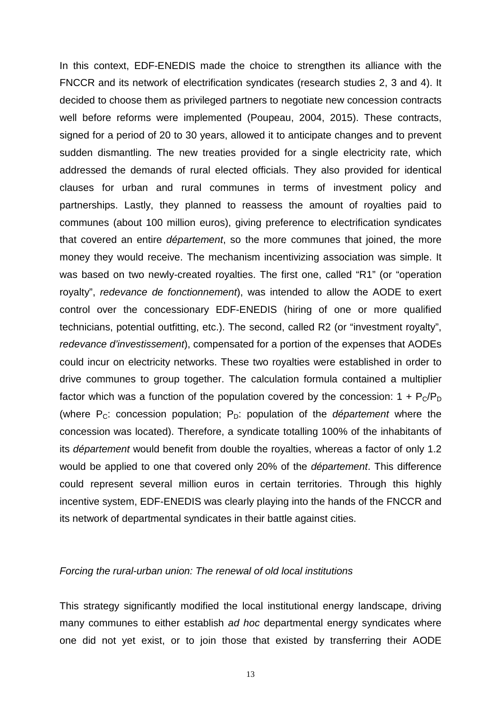In this context, EDF-ENEDIS made the choice to strengthen its alliance with the FNCCR and its network of electrification syndicates (research studies 2, 3 and 4). It decided to choose them as privileged partners to negotiate new concession contracts well before reforms were implemented (Poupeau, 2004, 2015). These contracts, signed for a period of 20 to 30 years, allowed it to anticipate changes and to prevent sudden dismantling. The new treaties provided for a single electricity rate, which addressed the demands of rural elected officials. They also provided for identical clauses for urban and rural communes in terms of investment policy and partnerships. Lastly, they planned to reassess the amount of royalties paid to communes (about 100 million euros), giving preference to electrification syndicates that covered an entire département, so the more communes that joined, the more money they would receive. The mechanism incentivizing association was simple. It was based on two newly-created royalties. The first one, called "R1" (or "operation royalty", redevance de fonctionnement), was intended to allow the AODE to exert control over the concessionary EDF-ENEDIS (hiring of one or more qualified technicians, potential outfitting, etc.). The second, called R2 (or "investment royalty", redevance d'investissement), compensated for a portion of the expenses that AODEs could incur on electricity networks. These two royalties were established in order to drive communes to group together. The calculation formula contained a multiplier factor which was a function of the population covered by the concession:  $1 + P_C/P_D$ (where  $P_C$ : concession population;  $P_D$ : population of the *département* where the concession was located). Therefore, a syndicate totalling 100% of the inhabitants of its département would benefit from double the royalties, whereas a factor of only 1.2 would be applied to one that covered only 20% of the département. This difference could represent several million euros in certain territories. Through this highly incentive system, EDF-ENEDIS was clearly playing into the hands of the FNCCR and its network of departmental syndicates in their battle against cities.

#### Forcing the rural-urban union: The renewal of old local institutions

This strategy significantly modified the local institutional energy landscape, driving many communes to either establish ad hoc departmental energy syndicates where one did not yet exist, or to join those that existed by transferring their AODE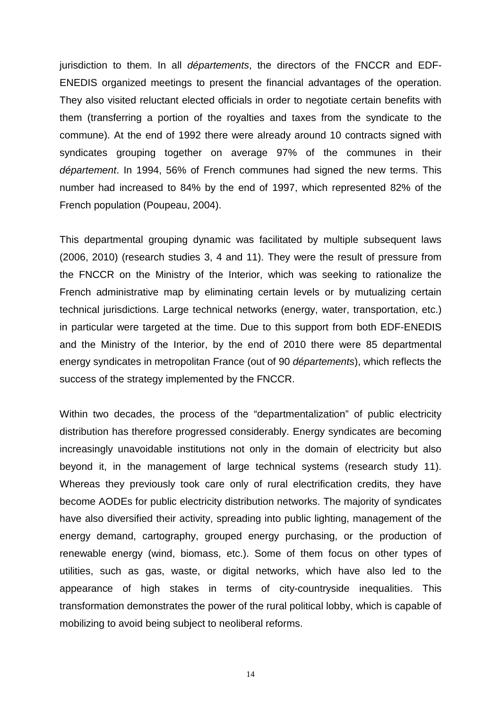jurisdiction to them. In all *départements*, the directors of the FNCCR and EDF-ENEDIS organized meetings to present the financial advantages of the operation. They also visited reluctant elected officials in order to negotiate certain benefits with them (transferring a portion of the royalties and taxes from the syndicate to the commune). At the end of 1992 there were already around 10 contracts signed with syndicates grouping together on average 97% of the communes in their département. In 1994, 56% of French communes had signed the new terms. This number had increased to 84% by the end of 1997, which represented 82% of the French population (Poupeau, 2004).

This departmental grouping dynamic was facilitated by multiple subsequent laws (2006, 2010) (research studies 3, 4 and 11). They were the result of pressure from the FNCCR on the Ministry of the Interior, which was seeking to rationalize the French administrative map by eliminating certain levels or by mutualizing certain technical jurisdictions. Large technical networks (energy, water, transportation, etc.) in particular were targeted at the time. Due to this support from both EDF-ENEDIS and the Ministry of the Interior, by the end of 2010 there were 85 departmental energy syndicates in metropolitan France (out of 90 départements), which reflects the success of the strategy implemented by the FNCCR.

Within two decades, the process of the "departmentalization" of public electricity distribution has therefore progressed considerably. Energy syndicates are becoming increasingly unavoidable institutions not only in the domain of electricity but also beyond it, in the management of large technical systems (research study 11). Whereas they previously took care only of rural electrification credits, they have become AODEs for public electricity distribution networks. The majority of syndicates have also diversified their activity, spreading into public lighting, management of the energy demand, cartography, grouped energy purchasing, or the production of renewable energy (wind, biomass, etc.). Some of them focus on other types of utilities, such as gas, waste, or digital networks, which have also led to the appearance of high stakes in terms of city-countryside inequalities. This transformation demonstrates the power of the rural political lobby, which is capable of mobilizing to avoid being subject to neoliberal reforms.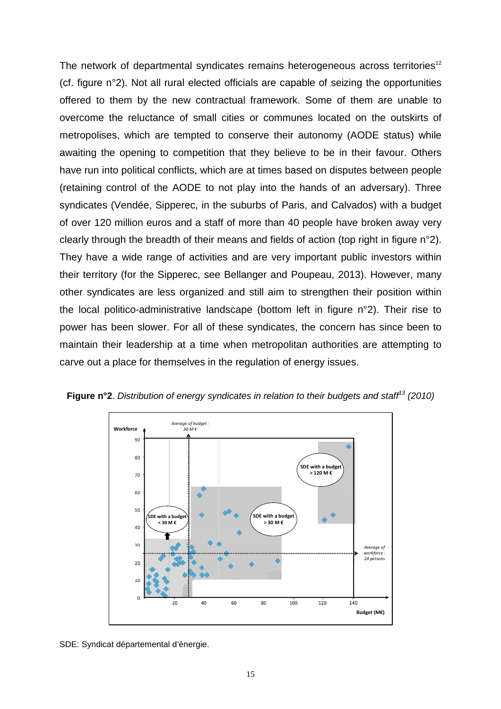The network of departmental syndicates remains heterogeneous across territories<sup>12</sup> (cf. figure n°2). Not all rural elected officials are capable of seizing the opportunities offered to them by the new contractual framework. Some of them are unable to overcome the reluctance of small cities or communes located on the outskirts of metropolises, which are tempted to conserve their autonomy (AODE status) while awaiting the opening to competition that they believe to be in their favour. Others have run into political conflicts, which are at times based on disputes between people (retaining control of the AODE to not play into the hands of an adversary). Three syndicates (Vendée, Sipperec, in the suburbs of Paris, and Calvados) with a budget of over 120 million euros and a staff of more than 40 people have broken away very clearly through the breadth of their means and fields of action (top right in figure n°2). They have a wide range of activities and are very important public investors within their territory (for the Sipperec, see Bellanger and Poupeau, 2013). However, many other syndicates are less organized and still aim to strengthen their position within the local politico-administrative landscape (bottom left in figure n°2). Their rise to power has been slower. For all of these syndicates, the concern has since been to maintain their leadership at a time when metropolitan authorities are attempting to carve out a place for themselves in the regulation of energy issues.



**Figure n°2**. Distribution of energy syndicates in relation to their budgets and staff<sup>13</sup> (2010)

SDE: Syndicat départemental d'énergie.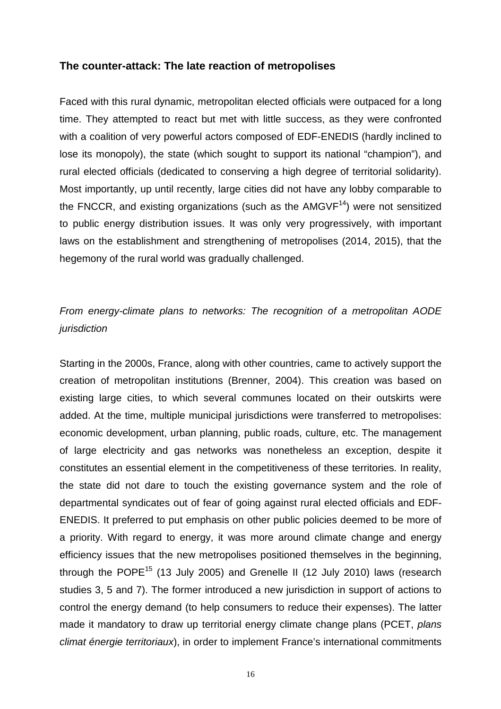#### **The counter-attack: The late reaction of metropolises**

Faced with this rural dynamic, metropolitan elected officials were outpaced for a long time. They attempted to react but met with little success, as they were confronted with a coalition of very powerful actors composed of EDF-ENEDIS (hardly inclined to lose its monopoly), the state (which sought to support its national "champion"), and rural elected officials (dedicated to conserving a high degree of territorial solidarity). Most importantly, up until recently, large cities did not have any lobby comparable to the FNCCR, and existing organizations (such as the  $AMGVF<sup>14</sup>$ ) were not sensitized to public energy distribution issues. It was only very progressively, with important laws on the establishment and strengthening of metropolises (2014, 2015), that the hegemony of the rural world was gradually challenged.

# From energy-climate plans to networks: The recognition of a metropolitan AODE jurisdiction

Starting in the 2000s, France, along with other countries, came to actively support the creation of metropolitan institutions (Brenner, 2004). This creation was based on existing large cities, to which several communes located on their outskirts were added. At the time, multiple municipal jurisdictions were transferred to metropolises: economic development, urban planning, public roads, culture, etc. The management of large electricity and gas networks was nonetheless an exception, despite it constitutes an essential element in the competitiveness of these territories. In reality, the state did not dare to touch the existing governance system and the role of departmental syndicates out of fear of going against rural elected officials and EDF-ENEDIS. It preferred to put emphasis on other public policies deemed to be more of a priority. With regard to energy, it was more around climate change and energy efficiency issues that the new metropolises positioned themselves in the beginning, through the POPE<sup>15</sup> (13 July 2005) and Grenelle II (12 July 2010) laws (research studies 3, 5 and 7). The former introduced a new jurisdiction in support of actions to control the energy demand (to help consumers to reduce their expenses). The latter made it mandatory to draw up territorial energy climate change plans (PCET, plans climat énergie territoriaux), in order to implement France's international commitments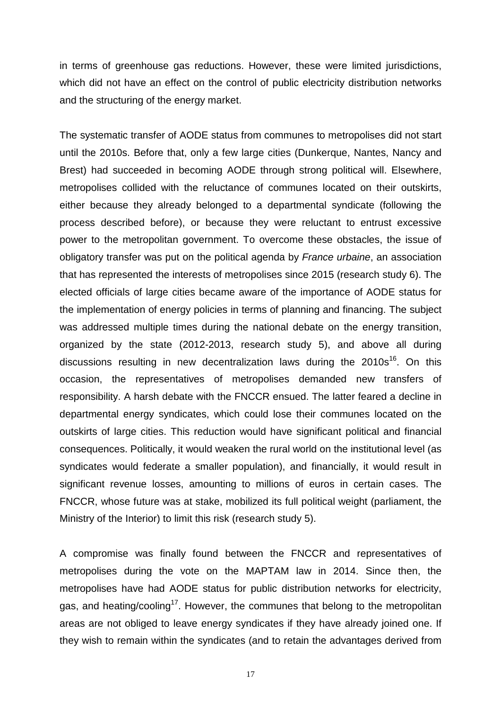in terms of greenhouse gas reductions. However, these were limited jurisdictions, which did not have an effect on the control of public electricity distribution networks and the structuring of the energy market.

The systematic transfer of AODE status from communes to metropolises did not start until the 2010s. Before that, only a few large cities (Dunkerque, Nantes, Nancy and Brest) had succeeded in becoming AODE through strong political will. Elsewhere, metropolises collided with the reluctance of communes located on their outskirts, either because they already belonged to a departmental syndicate (following the process described before), or because they were reluctant to entrust excessive power to the metropolitan government. To overcome these obstacles, the issue of obligatory transfer was put on the political agenda by France urbaine, an association that has represented the interests of metropolises since 2015 (research study 6). The elected officials of large cities became aware of the importance of AODE status for the implementation of energy policies in terms of planning and financing. The subject was addressed multiple times during the national debate on the energy transition, organized by the state (2012-2013, research study 5), and above all during discussions resulting in new decentralization laws during the  $2010s^{16}$ . On this occasion, the representatives of metropolises demanded new transfers of responsibility. A harsh debate with the FNCCR ensued. The latter feared a decline in departmental energy syndicates, which could lose their communes located on the outskirts of large cities. This reduction would have significant political and financial consequences. Politically, it would weaken the rural world on the institutional level (as syndicates would federate a smaller population), and financially, it would result in significant revenue losses, amounting to millions of euros in certain cases. The FNCCR, whose future was at stake, mobilized its full political weight (parliament, the Ministry of the Interior) to limit this risk (research study 5).

A compromise was finally found between the FNCCR and representatives of metropolises during the vote on the MAPTAM law in 2014. Since then, the metropolises have had AODE status for public distribution networks for electricity, gas, and heating/cooling<sup>17</sup>. However, the communes that belong to the metropolitan areas are not obliged to leave energy syndicates if they have already joined one. If they wish to remain within the syndicates (and to retain the advantages derived from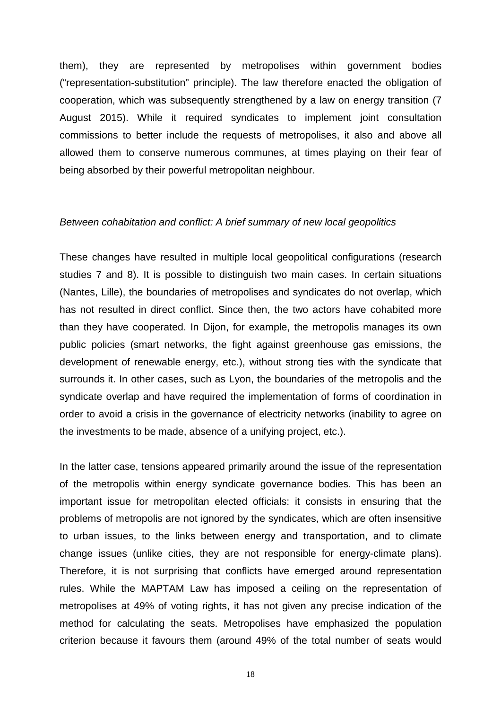them), they are represented by metropolises within government bodies ("representation-substitution" principle). The law therefore enacted the obligation of cooperation, which was subsequently strengthened by a law on energy transition (7 August 2015). While it required syndicates to implement joint consultation commissions to better include the requests of metropolises, it also and above all allowed them to conserve numerous communes, at times playing on their fear of being absorbed by their powerful metropolitan neighbour.

#### Between cohabitation and conflict: A brief summary of new local geopolitics

These changes have resulted in multiple local geopolitical configurations (research studies 7 and 8). It is possible to distinguish two main cases. In certain situations (Nantes, Lille), the boundaries of metropolises and syndicates do not overlap, which has not resulted in direct conflict. Since then, the two actors have cohabited more than they have cooperated. In Dijon, for example, the metropolis manages its own public policies (smart networks, the fight against greenhouse gas emissions, the development of renewable energy, etc.), without strong ties with the syndicate that surrounds it. In other cases, such as Lyon, the boundaries of the metropolis and the syndicate overlap and have required the implementation of forms of coordination in order to avoid a crisis in the governance of electricity networks (inability to agree on the investments to be made, absence of a unifying project, etc.).

In the latter case, tensions appeared primarily around the issue of the representation of the metropolis within energy syndicate governance bodies. This has been an important issue for metropolitan elected officials: it consists in ensuring that the problems of metropolis are not ignored by the syndicates, which are often insensitive to urban issues, to the links between energy and transportation, and to climate change issues (unlike cities, they are not responsible for energy-climate plans). Therefore, it is not surprising that conflicts have emerged around representation rules. While the MAPTAM Law has imposed a ceiling on the representation of metropolises at 49% of voting rights, it has not given any precise indication of the method for calculating the seats. Metropolises have emphasized the population criterion because it favours them (around 49% of the total number of seats would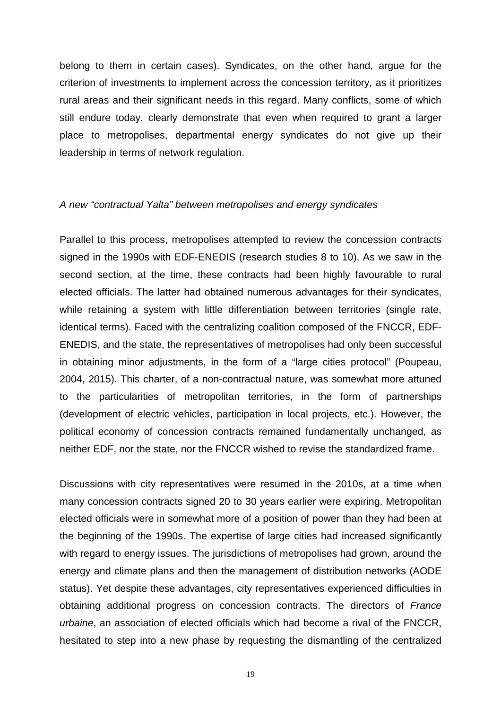belong to them in certain cases). Syndicates, on the other hand, argue for the criterion of investments to implement across the concession territory, as it prioritizes rural areas and their significant needs in this regard. Many conflicts, some of which still endure today, clearly demonstrate that even when required to grant a larger place to metropolises, departmental energy syndicates do not give up their leadership in terms of network regulation.

#### A new "contractual Yalta" between metropolises and energy syndicates

Parallel to this process, metropolises attempted to review the concession contracts signed in the 1990s with EDF-ENEDIS (research studies 8 to 10). As we saw in the second section, at the time, these contracts had been highly favourable to rural elected officials. The latter had obtained numerous advantages for their syndicates, while retaining a system with little differentiation between territories (single rate, identical terms). Faced with the centralizing coalition composed of the FNCCR, EDF-ENEDIS, and the state, the representatives of metropolises had only been successful in obtaining minor adjustments, in the form of a "large cities protocol" (Poupeau, 2004, 2015). This charter, of a non-contractual nature, was somewhat more attuned to the particularities of metropolitan territories, in the form of partnerships (development of electric vehicles, participation in local projects, etc.). However, the political economy of concession contracts remained fundamentally unchanged, as neither EDF, nor the state, nor the FNCCR wished to revise the standardized frame.

Discussions with city representatives were resumed in the 2010s, at a time when many concession contracts signed 20 to 30 years earlier were expiring. Metropolitan elected officials were in somewhat more of a position of power than they had been at the beginning of the 1990s. The expertise of large cities had increased significantly with regard to energy issues. The jurisdictions of metropolises had grown, around the energy and climate plans and then the management of distribution networks (AODE status). Yet despite these advantages, city representatives experienced difficulties in obtaining additional progress on concession contracts. The directors of France urbaine, an association of elected officials which had become a rival of the FNCCR, hesitated to step into a new phase by requesting the dismantling of the centralized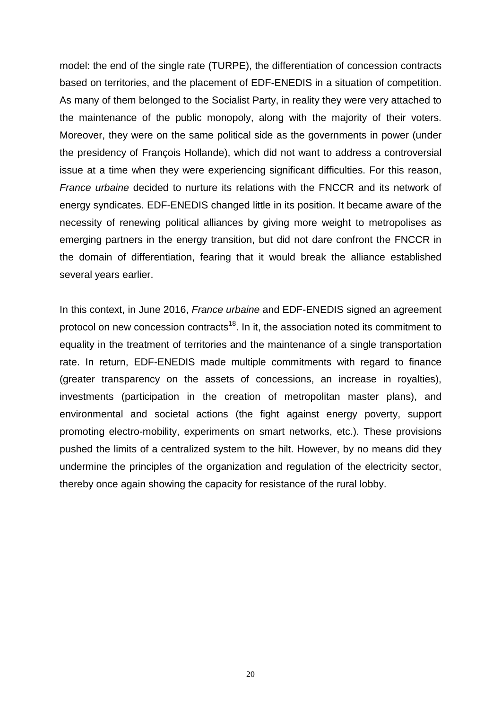model: the end of the single rate (TURPE), the differentiation of concession contracts based on territories, and the placement of EDF-ENEDIS in a situation of competition. As many of them belonged to the Socialist Party, in reality they were very attached to the maintenance of the public monopoly, along with the majority of their voters. Moreover, they were on the same political side as the governments in power (under the presidency of François Hollande), which did not want to address a controversial issue at a time when they were experiencing significant difficulties. For this reason, France urbaine decided to nurture its relations with the FNCCR and its network of energy syndicates. EDF-ENEDIS changed little in its position. It became aware of the necessity of renewing political alliances by giving more weight to metropolises as emerging partners in the energy transition, but did not dare confront the FNCCR in the domain of differentiation, fearing that it would break the alliance established several years earlier.

In this context, in June 2016, France urbaine and EDF-ENEDIS signed an agreement protocol on new concession contracts<sup>18</sup>. In it, the association noted its commitment to equality in the treatment of territories and the maintenance of a single transportation rate. In return, EDF-ENEDIS made multiple commitments with regard to finance (greater transparency on the assets of concessions, an increase in royalties), investments (participation in the creation of metropolitan master plans), and environmental and societal actions (the fight against energy poverty, support promoting electro-mobility, experiments on smart networks, etc.). These provisions pushed the limits of a centralized system to the hilt. However, by no means did they undermine the principles of the organization and regulation of the electricity sector, thereby once again showing the capacity for resistance of the rural lobby.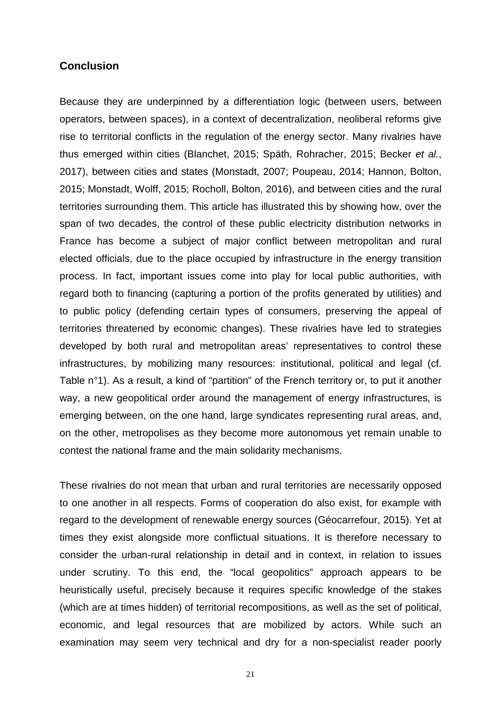#### **Conclusion**

Because they are underpinned by a differentiation logic (between users, between operators, between spaces), in a context of decentralization, neoliberal reforms give rise to territorial conflicts in the regulation of the energy sector. Many rivalries have thus emerged within cities (Blanchet, 2015; Späth, Rohracher, 2015; Becker et al., 2017), between cities and states (Monstadt, 2007; Poupeau, 2014; Hannon, Bolton, 2015; Monstadt, Wolff, 2015; Rocholl, Bolton, 2016), and between cities and the rural territories surrounding them. This article has illustrated this by showing how, over the span of two decades, the control of these public electricity distribution networks in France has become a subject of major conflict between metropolitan and rural elected officials, due to the place occupied by infrastructure in the energy transition process. In fact, important issues come into play for local public authorities, with regard both to financing (capturing a portion of the profits generated by utilities) and to public policy (defending certain types of consumers, preserving the appeal of territories threatened by economic changes). These rivalries have led to strategies developed by both rural and metropolitan areas' representatives to control these infrastructures, by mobilizing many resources: institutional, political and legal (cf. Table n°1). As a result, a kind of "partition" of the French territory or, to put it another way, a new geopolitical order around the management of energy infrastructures, is emerging between, on the one hand, large syndicates representing rural areas, and, on the other, metropolises as they become more autonomous yet remain unable to contest the national frame and the main solidarity mechanisms.

These rivalries do not mean that urban and rural territories are necessarily opposed to one another in all respects. Forms of cooperation do also exist, for example with regard to the development of renewable energy sources (Géocarrefour, 2015). Yet at times they exist alongside more conflictual situations. It is therefore necessary to consider the urban-rural relationship in detail and in context, in relation to issues under scrutiny. To this end, the "local geopolitics" approach appears to be heuristically useful, precisely because it requires specific knowledge of the stakes (which are at times hidden) of territorial recompositions, as well as the set of political, economic, and legal resources that are mobilized by actors. While such an examination may seem very technical and dry for a non-specialist reader poorly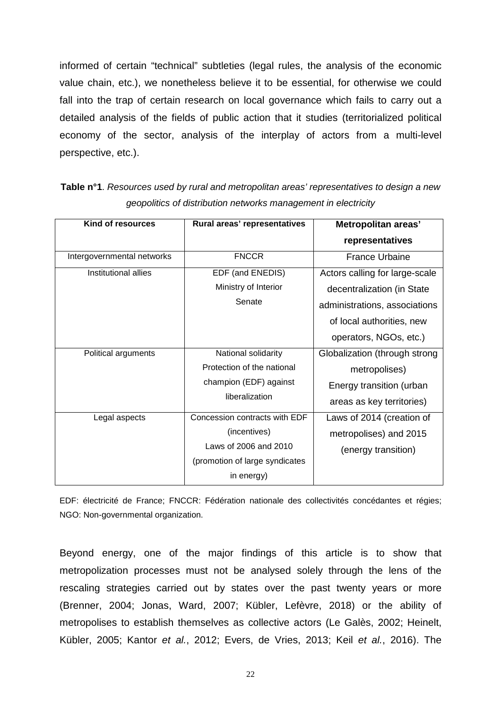informed of certain "technical" subtleties (legal rules, the analysis of the economic value chain, etc.), we nonetheless believe it to be essential, for otherwise we could fall into the trap of certain research on local governance which fails to carry out a detailed analysis of the fields of public action that it studies (territorialized political economy of the sector, analysis of the interplay of actors from a multi-level perspective, etc.).

| Kind of resources          | Rural areas' representatives   | Metropolitan areas'            |  |
|----------------------------|--------------------------------|--------------------------------|--|
|                            |                                | representatives                |  |
| Intergovernmental networks | <b>FNCCR</b>                   | <b>France Urbaine</b>          |  |
| Institutional allies       | EDF (and ENEDIS)               | Actors calling for large-scale |  |
|                            | Ministry of Interior           | decentralization (in State     |  |
|                            | Senate                         | administrations, associations  |  |
|                            |                                | of local authorities, new      |  |
|                            |                                | operators, NGOs, etc.)         |  |
| Political arguments        | National solidarity            | Globalization (through strong  |  |
|                            | Protection of the national     | metropolises)                  |  |
|                            | champion (EDF) against         | Energy transition (urban       |  |
|                            | liberalization                 | areas as key territories)      |  |
| Legal aspects              | Concession contracts with EDF  | Laws of 2014 (creation of      |  |
|                            | (incentives)                   | metropolises) and 2015         |  |
|                            | Laws of 2006 and 2010          | (energy transition)            |  |
|                            | (promotion of large syndicates |                                |  |
|                            | in energy)                     |                                |  |

**Table n°1**. Resources used by rural and metropolitan areas' representatives to design a new geopolitics of distribution networks management in electricity

EDF: électricité de France; FNCCR: Fédération nationale des collectivités concédantes et régies; NGO: Non-governmental organization.

Beyond energy, one of the major findings of this article is to show that metropolization processes must not be analysed solely through the lens of the rescaling strategies carried out by states over the past twenty years or more (Brenner, 2004; Jonas, Ward, 2007; Kübler, Lefèvre, 2018) or the ability of metropolises to establish themselves as collective actors (Le Galès, 2002; Heinelt, Kübler, 2005; Kantor et al., 2012; Evers, de Vries, 2013; Keil et al., 2016). The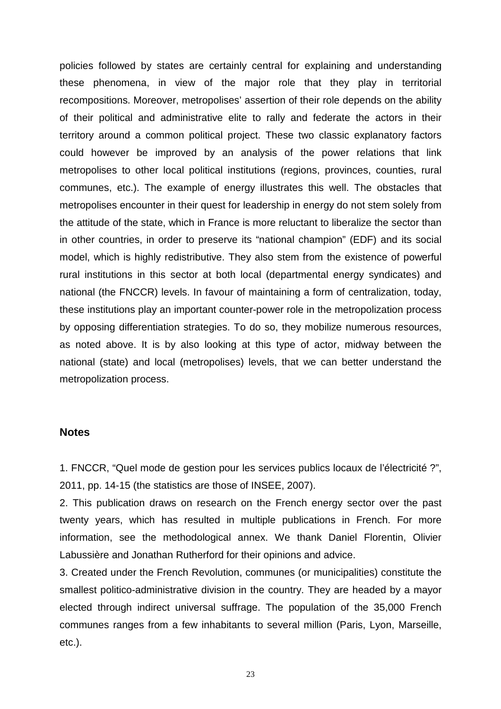policies followed by states are certainly central for explaining and understanding these phenomena, in view of the major role that they play in territorial recompositions. Moreover, metropolises' assertion of their role depends on the ability of their political and administrative elite to rally and federate the actors in their territory around a common political project. These two classic explanatory factors could however be improved by an analysis of the power relations that link metropolises to other local political institutions (regions, provinces, counties, rural communes, etc.). The example of energy illustrates this well. The obstacles that metropolises encounter in their quest for leadership in energy do not stem solely from the attitude of the state, which in France is more reluctant to liberalize the sector than in other countries, in order to preserve its "national champion" (EDF) and its social model, which is highly redistributive. They also stem from the existence of powerful rural institutions in this sector at both local (departmental energy syndicates) and national (the FNCCR) levels. In favour of maintaining a form of centralization, today, these institutions play an important counter-power role in the metropolization process by opposing differentiation strategies. To do so, they mobilize numerous resources, as noted above. It is by also looking at this type of actor, midway between the national (state) and local (metropolises) levels, that we can better understand the metropolization process.

#### **Notes**

1. FNCCR, "Quel mode de gestion pour les services publics locaux de l'électricité ?", 2011, pp. 14-15 (the statistics are those of INSEE, 2007).

2. This publication draws on research on the French energy sector over the past twenty years, which has resulted in multiple publications in French. For more information, see the methodological annex. We thank Daniel Florentin, Olivier Labussière and Jonathan Rutherford for their opinions and advice.

3. Created under the French Revolution, communes (or municipalities) constitute the smallest politico-administrative division in the country. They are headed by a mayor elected through indirect universal suffrage. The population of the 35,000 French communes ranges from a few inhabitants to several million (Paris, Lyon, Marseille, etc.).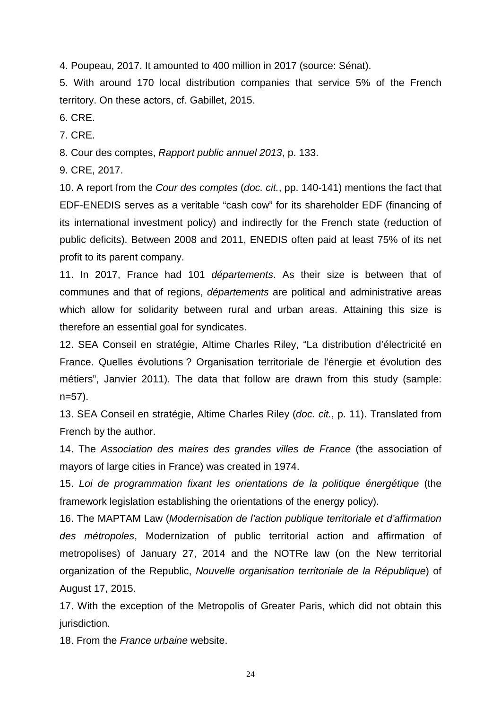4. Poupeau, 2017. It amounted to 400 million in 2017 (source: Sénat).

5. With around 170 local distribution companies that service 5% of the French territory. On these actors, cf. Gabillet, 2015.

6. CRE.

7. CRE.

8. Cour des comptes, Rapport public annuel 2013, p. 133.

9. CRE, 2017.

10. A report from the Cour des comptes (doc. cit., pp. 140-141) mentions the fact that EDF-ENEDIS serves as a veritable "cash cow" for its shareholder EDF (financing of its international investment policy) and indirectly for the French state (reduction of public deficits). Between 2008 and 2011, ENEDIS often paid at least 75% of its net profit to its parent company.

11. In 2017, France had 101 départements. As their size is between that of communes and that of regions, départements are political and administrative areas which allow for solidarity between rural and urban areas. Attaining this size is therefore an essential goal for syndicates.

12. SEA Conseil en stratégie, Altime Charles Riley, "La distribution d'électricité en France. Quelles évolutions ? Organisation territoriale de l'énergie et évolution des métiers", Janvier 2011). The data that follow are drawn from this study (sample: n=57).

13. SEA Conseil en stratégie, Altime Charles Riley (doc. cit., p. 11). Translated from French by the author.

14. The Association des maires des grandes villes de France (the association of mayors of large cities in France) was created in 1974.

15. Loi de programmation fixant les orientations de la politique énergétique (the framework legislation establishing the orientations of the energy policy).

16. The MAPTAM Law (Modernisation de l'action publique territoriale et d'affirmation des métropoles, Modernization of public territorial action and affirmation of metropolises) of January 27, 2014 and the NOTRe law (on the New territorial organization of the Republic, Nouvelle organisation territoriale de la République) of August 17, 2015.

17. With the exception of the Metropolis of Greater Paris, which did not obtain this jurisdiction.

18. From the France urbaine website.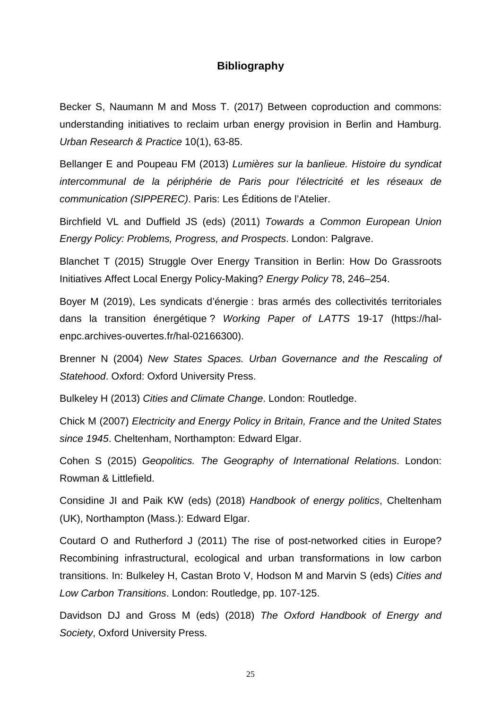## **Bibliography**

Becker S, Naumann M and Moss T. (2017) Between coproduction and commons: understanding initiatives to reclaim urban energy provision in Berlin and Hamburg. Urban Research & Practice 10(1), 63-85.

Bellanger E and Poupeau FM (2013) Lumières sur la banlieue. Histoire du syndicat intercommunal de la périphérie de Paris pour l'électricité et les réseaux de communication (SIPPEREC). Paris: Les Éditions de l'Atelier.

Birchfield VL and Duffield JS (eds) (2011) Towards a Common European Union Energy Policy: Problems, Progress, and Prospects. London: Palgrave.

Blanchet T (2015) Struggle Over Energy Transition in Berlin: How Do Grassroots Initiatives Affect Local Energy Policy-Making? Energy Policy 78, 246–254.

Boyer M (2019), Les syndicats d'énergie : bras armés des collectivités territoriales dans la transition énergétique ? Working Paper of LATTS 19-17 (https://halenpc.archives-ouvertes.fr/hal-02166300).

Brenner N (2004) New States Spaces. Urban Governance and the Rescaling of Statehood. Oxford: Oxford University Press.

Bulkeley H (2013) Cities and Climate Change. London: Routledge.

Chick M (2007) Electricity and Energy Policy in Britain, France and the United States since 1945. Cheltenham, Northampton: Edward Elgar.

Cohen S (2015) Geopolitics. The Geography of International Relations. London: Rowman & Littlefield.

Considine JI and Paik KW (eds) (2018) Handbook of energy politics, Cheltenham (UK), Northampton (Mass.): Edward Elgar.

Coutard O and Rutherford J (2011) The rise of post-networked cities in Europe? Recombining infrastructural, ecological and urban transformations in low carbon transitions. In: Bulkeley H, Castan Broto V, Hodson M and Marvin S (eds) Cities and Low Carbon Transitions. London: Routledge, pp. 107-125.

Davidson DJ and Gross M (eds) (2018) The Oxford Handbook of Energy and Society, Oxford University Press.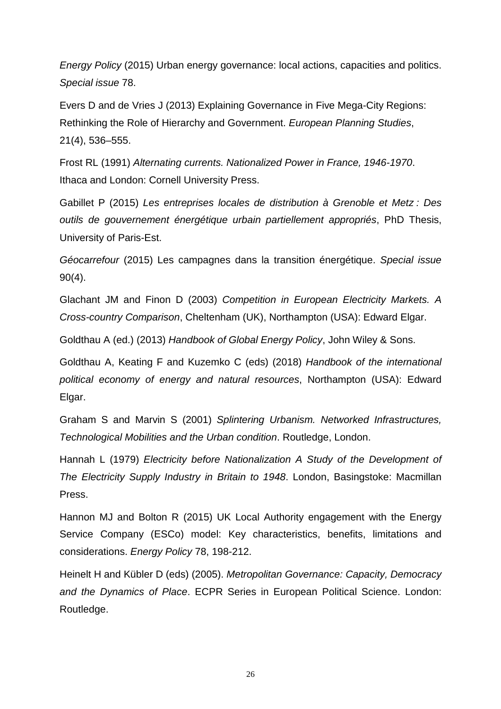Energy Policy (2015) Urban energy governance: local actions, capacities and politics. Special issue 78.

Evers D and de Vries J (2013) Explaining Governance in Five Mega-City Regions: Rethinking the Role of Hierarchy and Government. European Planning Studies, 21(4), 536–555.

Frost RL (1991) Alternating currents. Nationalized Power in France, 1946-1970. Ithaca and London: Cornell University Press.

Gabillet P (2015) Les entreprises locales de distribution à Grenoble et Metz : Des outils de gouvernement énergétique urbain partiellement appropriés, PhD Thesis, University of Paris-Est.

Géocarrefour (2015) Les campagnes dans la transition énergétique. Special issue 90(4).

Glachant JM and Finon D (2003) Competition in European Electricity Markets. A Cross-country Comparison, Cheltenham (UK), Northampton (USA): Edward Elgar.

Goldthau A (ed.) (2013) Handbook of Global Energy Policy, John Wiley & Sons.

Goldthau A, Keating F and Kuzemko C (eds) (2018) Handbook of the international political economy of energy and natural resources, Northampton (USA): Edward Elgar.

Graham S and Marvin S (2001) Splintering Urbanism. Networked Infrastructures, Technological Mobilities and the Urban condition. Routledge, London.

Hannah L (1979) Electricity before Nationalization A Study of the Development of The Electricity Supply Industry in Britain to 1948. London, Basingstoke: Macmillan Press.

Hannon MJ and Bolton R (2015) UK Local Authority engagement with the Energy Service Company (ESCo) model: Key characteristics, benefits, limitations and considerations. Energy Policy 78, 198-212.

Heinelt H and Kübler D (eds) (2005). Metropolitan Governance: Capacity, Democracy and the Dynamics of Place. ECPR Series in European Political Science. London: Routledge.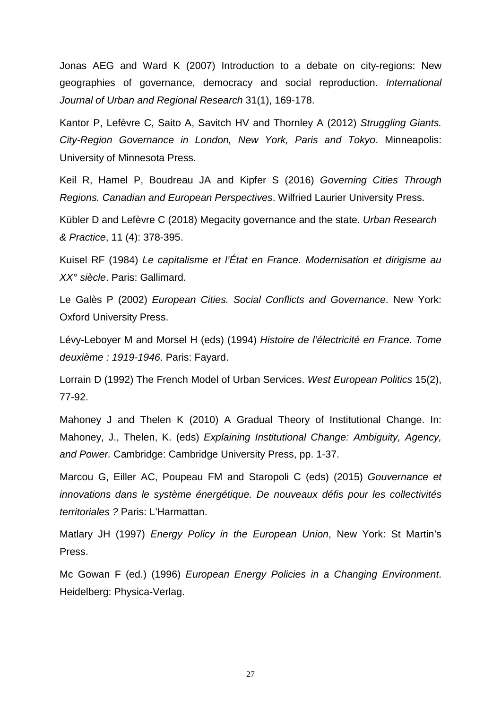Jonas AEG and Ward K (2007) Introduction to a debate on city-regions: New geographies of governance, democracy and social reproduction. International Journal of Urban and Regional Research 31(1), 169-178.

Kantor P, Lefèvre C, Saito A, Savitch HV and Thornley A (2012) Struggling Giants. City-Region Governance in London, New York, Paris and Tokyo. Minneapolis: University of Minnesota Press.

Keil R, Hamel P, Boudreau JA and Kipfer S (2016) Governing Cities Through Regions. Canadian and European Perspectives. Wilfried Laurier University Press.

Kübler D and Lefèvre C (2018) Megacity governance and the state. Urban Research & Practice, 11 (4): 378-395.

Kuisel RF (1984) Le capitalisme et l'État en France. Modernisation et dirigisme au XX° siècle. Paris: Gallimard.

Le Galès P (2002) European Cities. Social Conflicts and Governance. New York: Oxford University Press.

Lévy-Leboyer M and Morsel H (eds) (1994) Histoire de l'électricité en France. Tome deuxième : 1919-1946. Paris: Fayard.

Lorrain D (1992) The French Model of Urban Services. West European Politics 15(2), 77-92.

Mahoney J and Thelen K (2010) A Gradual Theory of Institutional Change. In: Mahoney, J., Thelen, K. (eds) Explaining Institutional Change: Ambiguity, Agency, and Power. Cambridge: Cambridge University Press, pp. 1-37.

Marcou G, Eiller AC, Poupeau FM and Staropoli C (eds) (2015) Gouvernance et innovations dans le système énergétique. De nouveaux défis pour les collectivités territoriales ? Paris: L'Harmattan.

Matlary JH (1997) Energy Policy in the European Union, New York: St Martin's Press.

Mc Gowan F (ed.) (1996) European Energy Policies in a Changing Environment. Heidelberg: Physica-Verlag.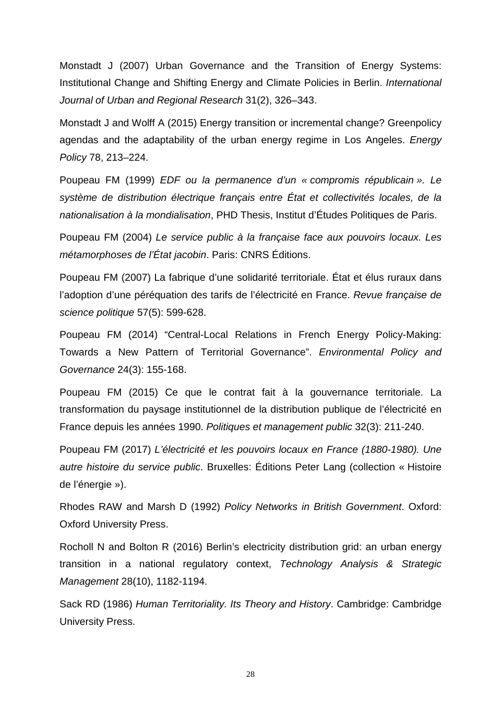Monstadt J (2007) Urban Governance and the Transition of Energy Systems: Institutional Change and Shifting Energy and Climate Policies in Berlin. International Journal of Urban and Regional Research 31(2), 326–343.

Monstadt J and Wolff A (2015) Energy transition or incremental change? Greenpolicy agendas and the adaptability of the urban energy regime in Los Angeles. Energy Policy 78, 213–224.

Poupeau FM (1999) EDF ou la permanence d'un « compromis républicain ». Le système de distribution électrique français entre État et collectivités locales, de la nationalisation à la mondialisation, PHD Thesis, Institut d'Études Politiques de Paris.

Poupeau FM (2004) Le service public à la française face aux pouvoirs locaux. Les métamorphoses de l'État jacobin. Paris: CNRS Éditions.

Poupeau FM (2007) La fabrique d'une solidarité territoriale. État et élus ruraux dans l'adoption d'une péréquation des tarifs de l'électricité en France. Revue française de science politique 57(5): 599-628.

Poupeau FM (2014) "Central-Local Relations in French Energy Policy-Making: Towards a New Pattern of Territorial Governance". Environmental Policy and Governance 24(3): 155-168.

Poupeau FM (2015) Ce que le contrat fait à la gouvernance territoriale. La transformation du paysage institutionnel de la distribution publique de l'électricité en France depuis les années 1990. Politiques et management public 32(3): 211-240.

Poupeau FM (2017) L'électricité et les pouvoirs locaux en France (1880-1980). Une autre histoire du service public. Bruxelles: Éditions Peter Lang (collection « Histoire de l'énergie »).

Rhodes RAW and Marsh D (1992) Policy Networks in British Government. Oxford: Oxford University Press.

Rocholl N and Bolton R (2016) Berlin's electricity distribution grid: an urban energy transition in a national regulatory context, Technology Analysis & Strategic Management 28(10), 1182-1194.

Sack RD (1986) Human Territoriality. Its Theory and History. Cambridge: Cambridge University Press.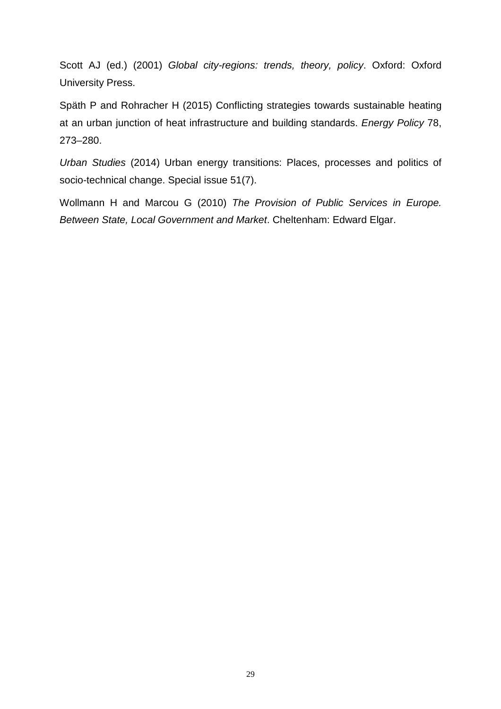Scott AJ (ed.) (2001) Global city-regions: trends, theory, policy. Oxford: Oxford University Press.

Späth P and Rohracher H (2015) Conflicting strategies towards sustainable heating at an urban junction of heat infrastructure and building standards. Energy Policy 78, 273–280.

Urban Studies (2014) Urban energy transitions: Places, processes and politics of socio-technical change. Special issue 51(7).

Wollmann H and Marcou G (2010) The Provision of Public Services in Europe. Between State, Local Government and Market. Cheltenham: Edward Elgar.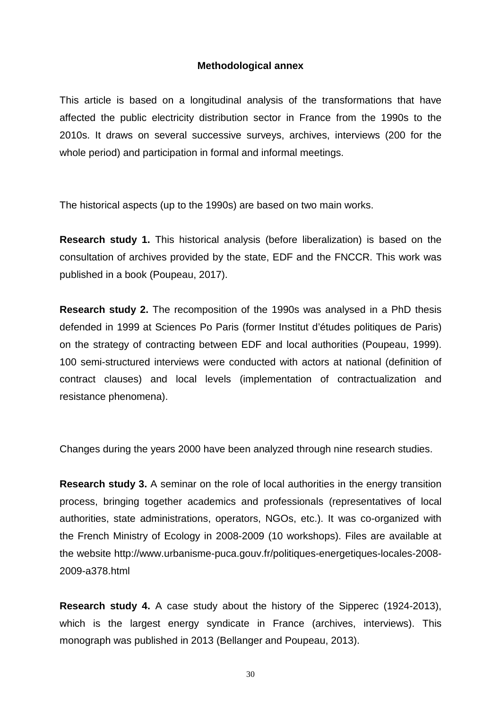#### **Methodological annex**

This article is based on a longitudinal analysis of the transformations that have affected the public electricity distribution sector in France from the 1990s to the 2010s. It draws on several successive surveys, archives, interviews (200 for the whole period) and participation in formal and informal meetings.

The historical aspects (up to the 1990s) are based on two main works.

**Research study 1.** This historical analysis (before liberalization) is based on the consultation of archives provided by the state, EDF and the FNCCR. This work was published in a book (Poupeau, 2017).

**Research study 2.** The recomposition of the 1990s was analysed in a PhD thesis defended in 1999 at Sciences Po Paris (former Institut d'études politiques de Paris) on the strategy of contracting between EDF and local authorities (Poupeau, 1999). 100 semi-structured interviews were conducted with actors at national (definition of contract clauses) and local levels (implementation of contractualization and resistance phenomena).

Changes during the years 2000 have been analyzed through nine research studies.

**Research study 3.** A seminar on the role of local authorities in the energy transition process, bringing together academics and professionals (representatives of local authorities, state administrations, operators, NGOs, etc.). It was co-organized with the French Ministry of Ecology in 2008-2009 (10 workshops). Files are available at the website http://www.urbanisme-puca.gouv.fr/politiques-energetiques-locales-2008- 2009-a378.html

**Research study 4.** A case study about the history of the Sipperec (1924-2013), which is the largest energy syndicate in France (archives, interviews). This monograph was published in 2013 (Bellanger and Poupeau, 2013).